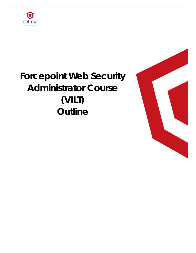

# **Forcepoint Web Security Administrator Course (VILT) Outline**

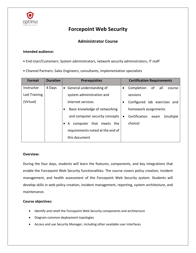

# **Forcepoint Web Security**

# **Administrator Course**

## **Intended audience:**

- End-User/Customers: System administrators, network security administrators, IT staff
- Channel Partners: Sales Engineers, consultants, implementation specialists

| Format       | <b>Duration</b> | <b>Prerequisites</b>                       |           | <b>Certification Requirements</b>   |
|--------------|-----------------|--------------------------------------------|-----------|-------------------------------------|
| Instructor   | 4 Days          | • General understanding of                 | $\bullet$ | Completion<br>all a<br>of<br>course |
| Led-Training |                 | system administration and                  |           | sessions                            |
| (Virtual)    |                 | Internet services                          |           | Configured lab exercises and        |
|              |                 | Basic knowledge of networking<br>$\bullet$ |           | homework assignments                |
|              |                 | and computer security concepts             | $\bullet$ | Certification<br>(multiple<br>exam  |
|              |                 | computer that meets<br>the<br>A            |           | choice)                             |
|              |                 | requirements noted at the end of           |           |                                     |
|              |                 | this document                              |           |                                     |

## **Overview:**

During the four days, students will learn the features, components, and key integrations that enable the Forcepoint Web Security functionalities. The course covers policy creation, incident management, and health assessment of the Forcepoint Web Security system. Students will develop skills in web policy creation, incident management, reporting, system architecture, and maintenance.

## **Course objectives:**

- Identify and retell the Forcepoint Web Security components and architecture
- Diagram common deployment topologies
- Access and use Security Manager, including other available user interfaces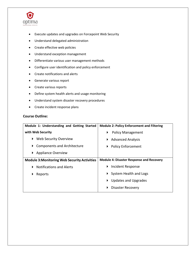

- Execute updates and upgrades on Forcepoint Web Security
- Understand delegated administration
- Create effective web policies
- Understand exception management
- Differentiate various user management methods
- Configure user identification and policy enforcement
- Create notifications and alerts
- Generate various report
- Create various reports
- Define system health alerts and usage monitoring
- Understand system disaster recovery procedures
- Create incident response plans

# **Course Outline:**

| Module 1: Understanding and Getting Started         | <b>Module 2: Policy Enforcement and Filtering</b> |  |  |
|-----------------------------------------------------|---------------------------------------------------|--|--|
| with Web Security                                   | <b>Policy Management</b><br>▶                     |  |  |
| Web Security Overview<br>▶                          | ▶ Advanced Analysis                               |  |  |
| <b>Components and Architecture</b><br>▶             | ▶ Policy Enforcement                              |  |  |
| ▶ Appliance Overview                                |                                                   |  |  |
|                                                     | <b>Module 4: Disaster Response and Recovery</b>   |  |  |
| <b>Module 3: Monitoring Web Security Activities</b> |                                                   |  |  |
| <b>Notifications and Alerts</b>                     | Incident Response<br>▶                            |  |  |
| Reports<br>▶                                        | System Health and Logs<br>$\blacktriangleright$   |  |  |
|                                                     | <b>Updates and Upgrades</b><br>▶                  |  |  |
|                                                     | <b>Disaster Recovery</b><br>▶                     |  |  |